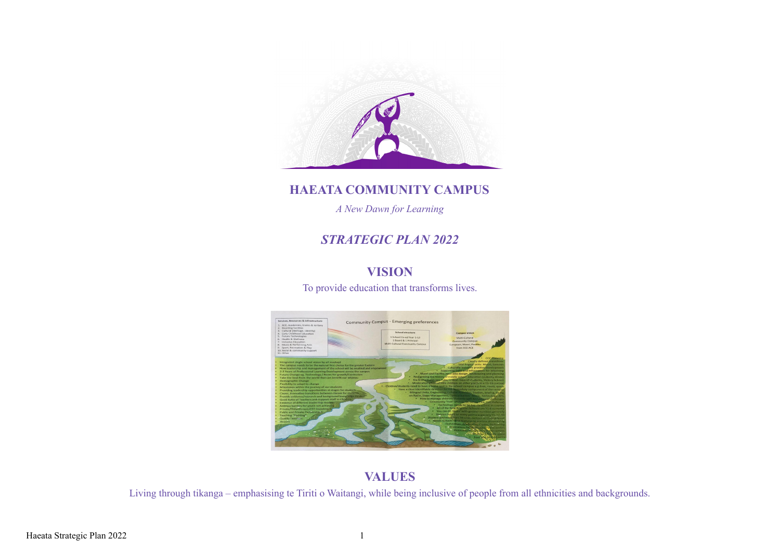

#### **HAEATA COMMUNITY CAMPUS**

*A New Dawn for Learning*

### *STRATEGIC PLAN 2022*

## **VISION**

To provide education that transforms lives.



### **VALUES**

Living through tikanga – emphasising te Tiriti o Waitangi, while being inclusive of people from all ethnicities and backgrounds.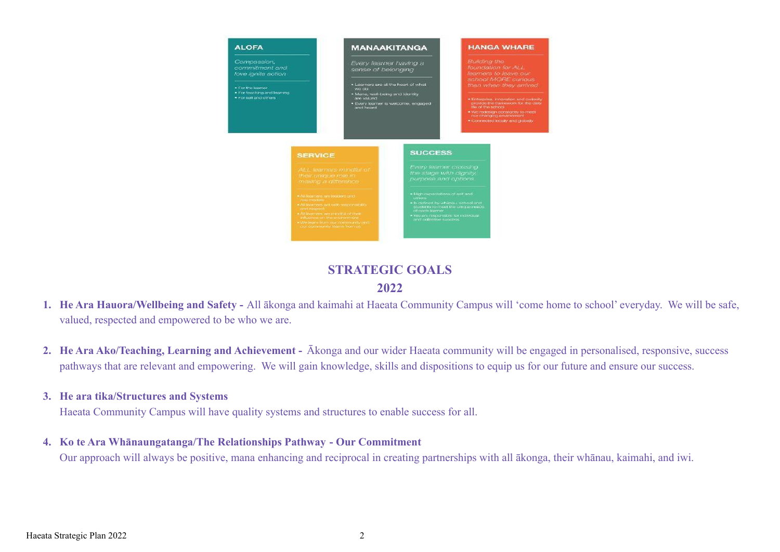

#### **STRATEGIC GOALS 2022**

- **1. He Ara Hauora/Wellbeing and Safety -** All ākonga and kaimahi at Haeata Community Campus will 'come home to school' everyday. We will be safe, valued, respected and empowered to be who we are.
- **2. He Ara Ako/Teaching, Learning and Achievement -** Ākonga and our wider Haeata community will be engaged in personalised, responsive, success pathways that are relevant and empowering. We will gain knowledge, skills and dispositions to equip us for our future and ensure our success.

#### **3. He ara tika/Structures and Systems**

Haeata Community Campus will have quality systems and structures to enable success for all.

**4. Ko te Ara Whānaungatanga/The Relationships Pathway - Our Commitment**

Our approach will always be positive, mana enhancing and reciprocal in creating partnerships with all ākonga, their whānau, kaimahi, and iwi.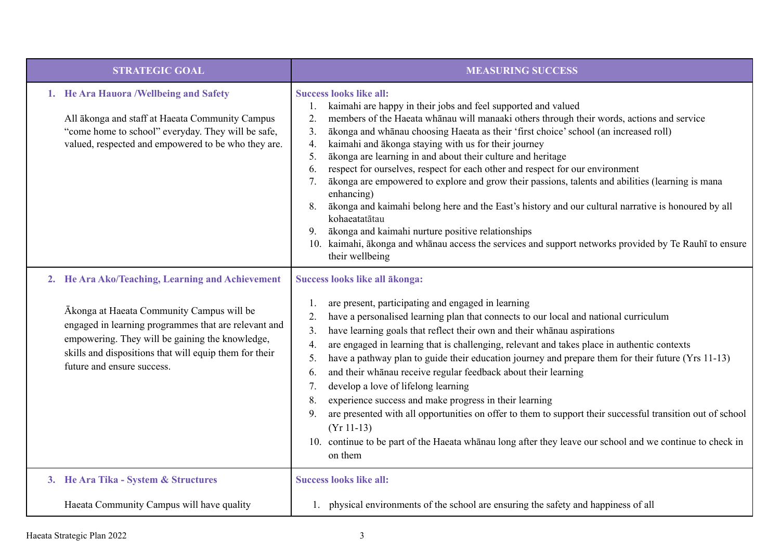| <b>STRATEGIC GOAL</b>                                                                                                                                                                                                                                                                            | <b>MEASURING SUCCESS</b>                                                                                                                                                                                                                                                                                                                                                                                                                                                                                                                                                                                                                                                                                                                                                                                                                                                                                                                                                 |
|--------------------------------------------------------------------------------------------------------------------------------------------------------------------------------------------------------------------------------------------------------------------------------------------------|--------------------------------------------------------------------------------------------------------------------------------------------------------------------------------------------------------------------------------------------------------------------------------------------------------------------------------------------------------------------------------------------------------------------------------------------------------------------------------------------------------------------------------------------------------------------------------------------------------------------------------------------------------------------------------------------------------------------------------------------------------------------------------------------------------------------------------------------------------------------------------------------------------------------------------------------------------------------------|
| 1. He Ara Hauora / Wellbeing and Safety<br>All ākonga and staff at Haeata Community Campus<br>"come home to school" everyday. They will be safe,<br>valued, respected and empowered to be who they are.                                                                                          | <b>Success looks like all:</b><br>kaimahi are happy in their jobs and feel supported and valued<br>members of the Haeata whanau will manaaki others through their words, actions and service<br>2.<br>3.<br>ākonga and whānau choosing Haeata as their 'first choice' school (an increased roll)<br>4.<br>kaimahi and ākonga staying with us for their journey<br>ākonga are learning in and about their culture and heritage<br>5.<br>respect for ourselves, respect for each other and respect for our environment<br>6.<br>ākonga are empowered to explore and grow their passions, talents and abilities (learning is mana<br>7.<br>enhancing)<br>ākonga and kaimahi belong here and the East's history and our cultural narrative is honoured by all<br>8.<br>kohaeatatātau<br>ākonga and kaimahi nurture positive relationships<br>9.<br>10. kaimahi, ākonga and whānau access the services and support networks provided by Te Rauhī to ensure<br>their wellbeing |
| 2. He Ara Ako/Teaching, Learning and Achievement<br>Ākonga at Haeata Community Campus will be<br>engaged in learning programmes that are relevant and<br>empowering. They will be gaining the knowledge,<br>skills and dispositions that will equip them for their<br>future and ensure success. | Success looks like all ākonga:<br>are present, participating and engaged in learning<br>have a personalised learning plan that connects to our local and national curriculum<br>2.<br>have learning goals that reflect their own and their whanau aspirations<br>3.<br>are engaged in learning that is challenging, relevant and takes place in authentic contexts<br>$\overline{4}$ .<br>have a pathway plan to guide their education journey and prepare them for their future (Yrs 11-13)<br>5.<br>and their whanau receive regular feedback about their learning<br>6.<br>develop a love of lifelong learning<br>7.<br>experience success and make progress in their learning<br>8.<br>are presented with all opportunities on offer to them to support their successful transition out of school<br>9.<br>$(Yr 11-13)$<br>10. continue to be part of the Haeata whanau long after they leave our school and we continue to check in<br>on them                      |
| 3. He Ara Tika - System & Structures                                                                                                                                                                                                                                                             | <b>Success looks like all:</b>                                                                                                                                                                                                                                                                                                                                                                                                                                                                                                                                                                                                                                                                                                                                                                                                                                                                                                                                           |
| Haeata Community Campus will have quality                                                                                                                                                                                                                                                        | 1. physical environments of the school are ensuring the safety and happiness of all                                                                                                                                                                                                                                                                                                                                                                                                                                                                                                                                                                                                                                                                                                                                                                                                                                                                                      |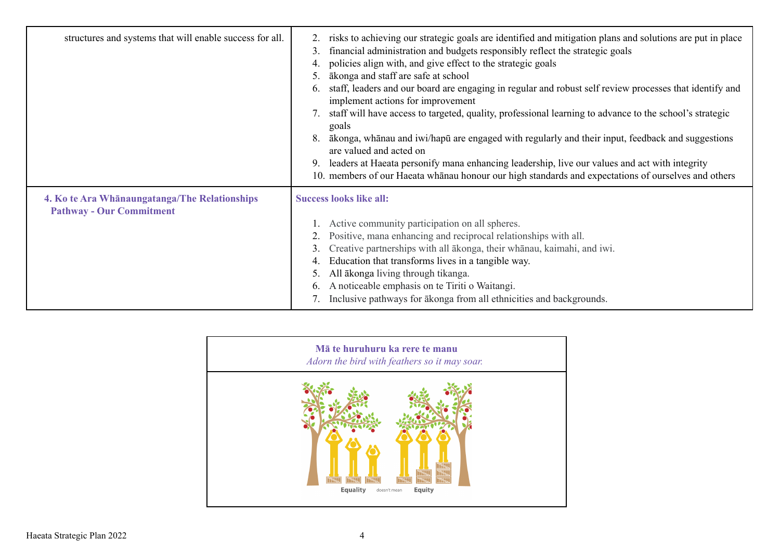| structures and systems that will enable success for all.                         | risks to achieving our strategic goals are identified and mitigation plans and solutions are put in place<br>financial administration and budgets responsibly reflect the strategic goals<br>3 <sub>1</sub><br>policies align with, and give effect to the strategic goals<br>4.<br>ākonga and staff are safe at school<br>staff, leaders and our board are engaging in regular and robust self review processes that identify and<br>$\mathfrak b$ .<br>implement actions for improvement<br>staff will have access to targeted, quality, professional learning to advance to the school's strategic<br>goals<br>ākonga, whānau and iwi/hapū are engaged with regularly and their input, feedback and suggestions<br>8.<br>are valued and acted on<br>leaders at Haeata personify mana enhancing leadership, live our values and act with integrity<br>10. members of our Haeata whanau honour our high standards and expectations of ourselves and others |
|----------------------------------------------------------------------------------|-------------------------------------------------------------------------------------------------------------------------------------------------------------------------------------------------------------------------------------------------------------------------------------------------------------------------------------------------------------------------------------------------------------------------------------------------------------------------------------------------------------------------------------------------------------------------------------------------------------------------------------------------------------------------------------------------------------------------------------------------------------------------------------------------------------------------------------------------------------------------------------------------------------------------------------------------------------|
| 4. Ko te Ara Whanaungatanga/The Relationships<br><b>Pathway - Our Commitment</b> | <b>Success looks like all:</b><br>Active community participation on all spheres.<br>Positive, mana enhancing and reciprocal relationships with all.<br>Creative partnerships with all ākonga, their whānau, kaimahi, and iwi.<br>3.<br>Education that transforms lives in a tangible way.<br>All ākonga living through tikanga.<br>A noticeable emphasis on te Tiriti o Waitangi.<br>6.<br>7. Inclusive pathways for a konga from all ethnicities and backgrounds.                                                                                                                                                                                                                                                                                                                                                                                                                                                                                          |

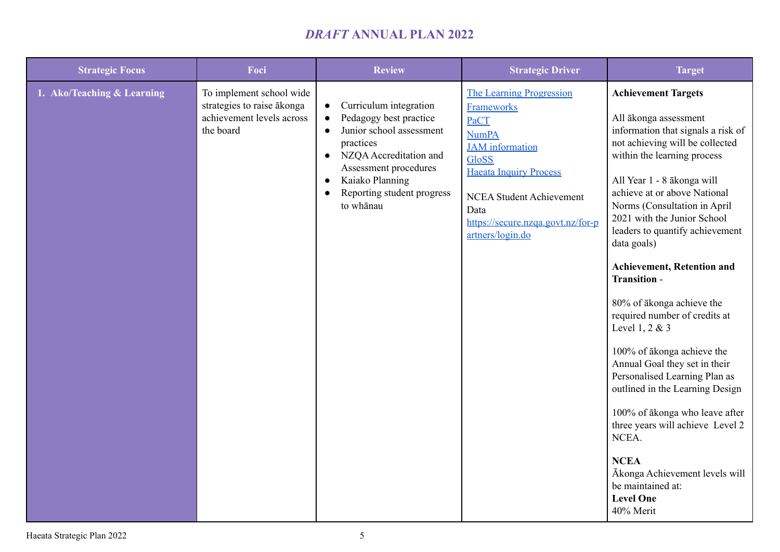# *DRAFT* **ANNUAL PLAN 2022**

| <b>Strategic Focus</b>     | Foci                                                                                             | <b>Review</b>                                                                                                                                                                                                                                                                            | <b>Strategic Driver</b>                                                                                                                                                                                                                                     | <b>Target</b>                                                                                                                                                                                                                                                                                                                                                                                                                                                                                                                                                                                                                                                                                                                                                                                            |
|----------------------------|--------------------------------------------------------------------------------------------------|------------------------------------------------------------------------------------------------------------------------------------------------------------------------------------------------------------------------------------------------------------------------------------------|-------------------------------------------------------------------------------------------------------------------------------------------------------------------------------------------------------------------------------------------------------------|----------------------------------------------------------------------------------------------------------------------------------------------------------------------------------------------------------------------------------------------------------------------------------------------------------------------------------------------------------------------------------------------------------------------------------------------------------------------------------------------------------------------------------------------------------------------------------------------------------------------------------------------------------------------------------------------------------------------------------------------------------------------------------------------------------|
| 1. Ako/Teaching & Learning | To implement school wide<br>strategies to raise ākonga<br>achievement levels across<br>the board | Curriculum integration<br>$\bullet$<br>Pedagogy best practice<br>$\bullet$<br>Junior school assessment<br>$\bullet$<br>practices<br>NZQA Accreditation and<br>$\bullet$<br>Assessment procedures<br>Kaiako Planning<br>$\bullet$<br>Reporting student progress<br>$\bullet$<br>to whanau | <b>The Learning Progression</b><br><b>Frameworks</b><br>PaCT<br><b>NumPA</b><br><b>JAM</b> information<br><b>GloSS</b><br><b>Haeata Inquiry Process</b><br><b>NCEA Student Achievement</b><br>Data<br>https://secure.nzqa.govt.nz/for-p<br>artners/login.do | <b>Achievement Targets</b><br>All ākonga assessment<br>information that signals a risk of<br>not achieving will be collected<br>within the learning process<br>All Year 1 - 8 ākonga will<br>achieve at or above National<br>Norms (Consultation in April<br>2021 with the Junior School<br>leaders to quantify achievement<br>data goals)<br><b>Achievement, Retention and</b><br>Transition -<br>80% of ākonga achieve the<br>required number of credits at<br>Level 1, 2 & 3<br>100% of ākonga achieve the<br>Annual Goal they set in their<br>Personalised Learning Plan as<br>outlined in the Learning Design<br>100% of ākonga who leave after<br>three years will achieve Level 2<br>NCEA.<br><b>NCEA</b><br>Ākonga Achievement levels will<br>be maintained at:<br><b>Level One</b><br>40% Merit |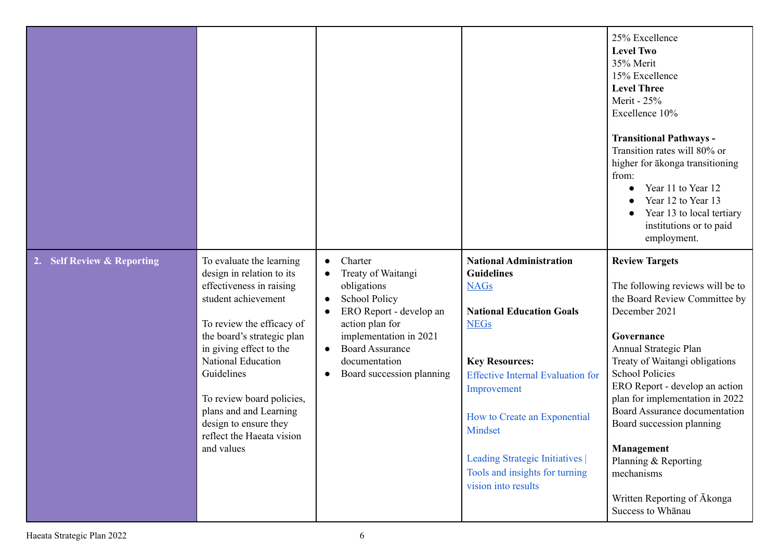|                            |                                                                                                                                                                                                                                                                                                                                                                      |                                                                                                                                                                                                                                                                                                    |                                                                                                                                                                                                                                                                                                                                                 | 25% Excellence<br><b>Level Two</b><br>35% Merit<br>15% Excellence<br><b>Level Three</b><br>Merit - 25%<br>Excellence 10%<br><b>Transitional Pathways -</b><br>Transition rates will 80% or<br>higher for ākonga transitioning<br>from:<br>Year 11 to Year 12<br>Year 12 to Year 13<br>Year 13 to local tertiary<br>institutions or to paid<br>employment.                                                                                                 |
|----------------------------|----------------------------------------------------------------------------------------------------------------------------------------------------------------------------------------------------------------------------------------------------------------------------------------------------------------------------------------------------------------------|----------------------------------------------------------------------------------------------------------------------------------------------------------------------------------------------------------------------------------------------------------------------------------------------------|-------------------------------------------------------------------------------------------------------------------------------------------------------------------------------------------------------------------------------------------------------------------------------------------------------------------------------------------------|-----------------------------------------------------------------------------------------------------------------------------------------------------------------------------------------------------------------------------------------------------------------------------------------------------------------------------------------------------------------------------------------------------------------------------------------------------------|
| 2. Self Review & Reporting | To evaluate the learning<br>design in relation to its<br>effectiveness in raising<br>student achievement<br>To review the efficacy of<br>the board's strategic plan<br>in giving effect to the<br><b>National Education</b><br>Guidelines<br>To review board policies,<br>plans and and Learning<br>design to ensure they<br>reflect the Haeata vision<br>and values | Charter<br>$\bullet$<br>Treaty of Waitangi<br>$\bullet$<br>obligations<br><b>School Policy</b><br>$\bullet$<br>ERO Report - develop an<br>$\bullet$<br>action plan for<br>implementation in 2021<br><b>Board Assurance</b><br>$\bullet$<br>documentation<br>Board succession planning<br>$\bullet$ | <b>National Administration</b><br><b>Guidelines</b><br><b>NAGs</b><br><b>National Education Goals</b><br><b>NEGs</b><br><b>Key Resources:</b><br><b>Effective Internal Evaluation for</b><br>Improvement<br>How to Create an Exponential<br>Mindset<br>Leading Strategic Initiatives  <br>Tools and insights for turning<br>vision into results | <b>Review Targets</b><br>The following reviews will be to<br>the Board Review Committee by<br>December 2021<br>Governance<br>Annual Strategic Plan<br>Treaty of Waitangi obligations<br><b>School Policies</b><br>ERO Report - develop an action<br>plan for implementation in 2022<br>Board Assurance documentation<br>Board succession planning<br>Management<br>Planning & Reporting<br>mechanisms<br>Written Reporting of Akonga<br>Success to Whanau |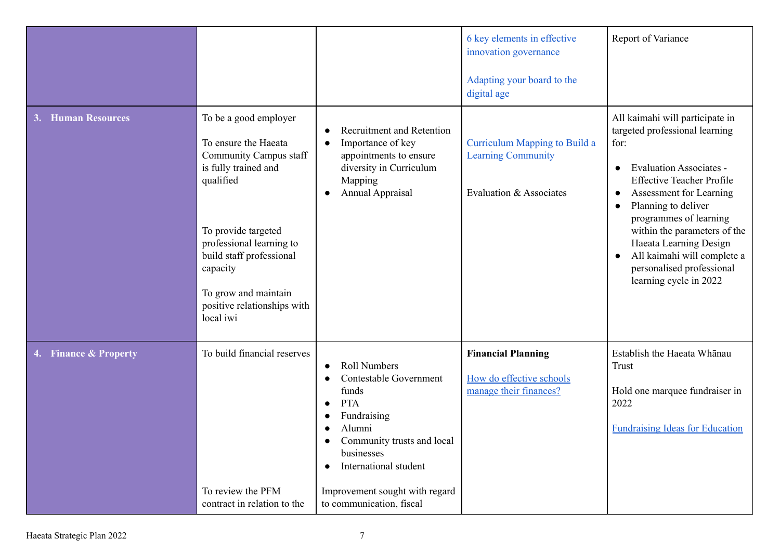| <b>Human Resources</b> | To be a good employer<br>To ensure the Haeata<br>Community Campus staff<br>is fully trained and<br>qualified<br>To provide targeted<br>professional learning to<br>build staff professional<br>capacity<br>To grow and maintain<br>positive relationships with | <b>Recruitment and Retention</b><br>Importance of key<br>$\bullet$<br>appointments to ensure<br>diversity in Curriculum<br>Mapping<br><b>Annual Appraisal</b>                                                                                 | 6 key elements in effective<br>innovation governance<br>Adapting your board to the<br>digital age<br><b>Curriculum Mapping to Build a</b><br><b>Learning Community</b><br>Evaluation & Associates | Report of Variance<br>All kaimahi will participate in<br>targeted professional learning<br>for:<br><b>Evaluation Associates -</b><br>$\bullet$<br><b>Effective Teacher Profile</b><br>Assessment for Learning<br>$\bullet$<br>Planning to deliver<br>$\bullet$<br>programmes of learning<br>within the parameters of the<br>Haeata Learning Design<br>All kaimahi will complete a<br>$\bullet$<br>personalised professional<br>learning cycle in 2022 |
|------------------------|----------------------------------------------------------------------------------------------------------------------------------------------------------------------------------------------------------------------------------------------------------------|-----------------------------------------------------------------------------------------------------------------------------------------------------------------------------------------------------------------------------------------------|---------------------------------------------------------------------------------------------------------------------------------------------------------------------------------------------------|-------------------------------------------------------------------------------------------------------------------------------------------------------------------------------------------------------------------------------------------------------------------------------------------------------------------------------------------------------------------------------------------------------------------------------------------------------|
| 4. Finance & Property  | local iwi<br>To build financial reserves<br>To review the PFM<br>contract in relation to the                                                                                                                                                                   | <b>Roll Numbers</b><br>Contestable Government<br>funds<br><b>PTA</b><br>Fundraising<br>Alumni<br>Community trusts and local<br>businesses<br>International student<br>$\bullet$<br>Improvement sought with regard<br>to communication, fiscal | <b>Financial Planning</b><br>How do effective schools<br>manage their finances?                                                                                                                   | Establish the Haeata Whanau<br>Trust<br>Hold one marquee fundraiser in<br>2022<br><b>Fundraising Ideas for Education</b>                                                                                                                                                                                                                                                                                                                              |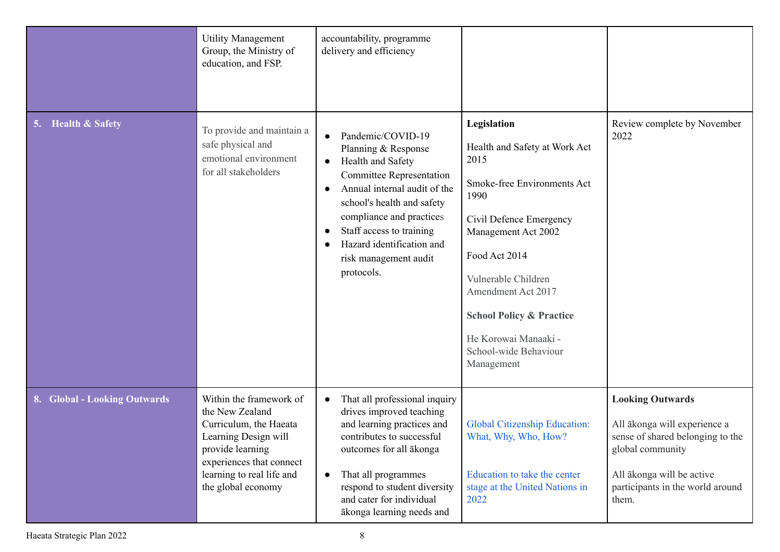| <b>Health &amp; Safety</b><br>5. | <b>Utility Management</b><br>Group, the Ministry of<br>education, and FSP.<br>To provide and maintain a                                                                                         | accountability, programme<br>delivery and efficiency<br>Pandemic/COVID-19<br>$\bullet$                                                                                                                                                                                                          | Legislation                                                                                                                                                                                                                                                                                        | Review complete by November<br>2022                                                                                                                                                       |
|----------------------------------|-------------------------------------------------------------------------------------------------------------------------------------------------------------------------------------------------|-------------------------------------------------------------------------------------------------------------------------------------------------------------------------------------------------------------------------------------------------------------------------------------------------|----------------------------------------------------------------------------------------------------------------------------------------------------------------------------------------------------------------------------------------------------------------------------------------------------|-------------------------------------------------------------------------------------------------------------------------------------------------------------------------------------------|
|                                  | safe physical and<br>emotional environment<br>for all stakeholders                                                                                                                              | Planning & Response<br>Health and Safety<br>$\bullet$<br><b>Committee Representation</b><br>Annual internal audit of the<br>$\bullet$<br>school's health and safety<br>compliance and practices<br>Staff access to training<br>Hazard identification and<br>risk management audit<br>protocols. | Health and Safety at Work Act<br>2015<br>Smoke-free Environments Act<br>1990<br>Civil Defence Emergency<br>Management Act 2002<br>Food Act 2014<br>Vulnerable Children<br>Amendment Act 2017<br><b>School Policy &amp; Practice</b><br>He Korowai Manaaki -<br>School-wide Behaviour<br>Management |                                                                                                                                                                                           |
| 8. Global - Looking Outwards     | Within the framework of<br>the New Zealand<br>Curriculum, the Haeata<br>Learning Design will<br>provide learning<br>experiences that connect<br>learning to real life and<br>the global economy | That all professional inquiry<br>$\bullet$<br>drives improved teaching<br>and learning practices and<br>contributes to successful<br>outcomes for all ākonga<br>That all programmes<br>$\bullet$<br>respond to student diversity<br>and cater for individual<br>ākonga learning needs and       | Global Citizenship Education:<br>What, Why, Who, How?<br>Education to take the center<br>stage at the United Nations in<br>2022                                                                                                                                                                    | <b>Looking Outwards</b><br>All ākonga will experience a<br>sense of shared belonging to the<br>global community<br>All ākonga will be active<br>participants in the world around<br>them. |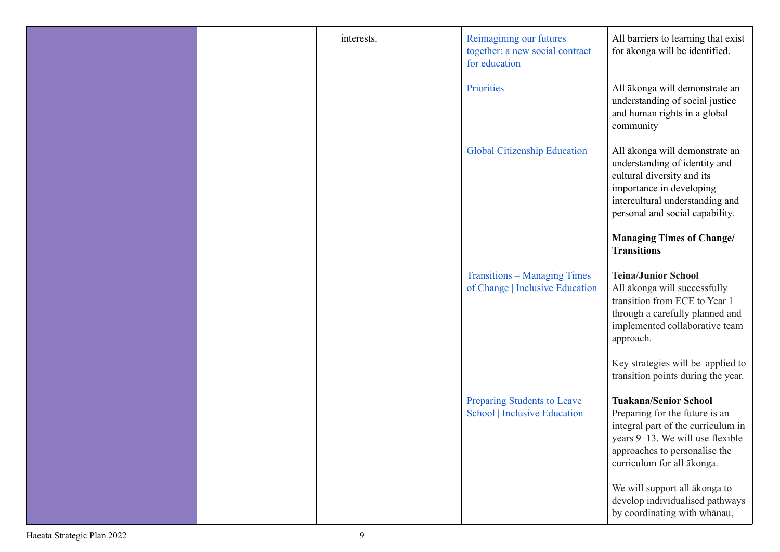|  | interests. | Reimagining our futures<br>together: a new social contract<br>for education | All barriers to learning that exist<br>for ākonga will be identified.                                                                                                                                   |
|--|------------|-----------------------------------------------------------------------------|---------------------------------------------------------------------------------------------------------------------------------------------------------------------------------------------------------|
|  |            | Priorities                                                                  | All ākonga will demonstrate an<br>understanding of social justice<br>and human rights in a global<br>community                                                                                          |
|  |            | <b>Global Citizenship Education</b>                                         | All ākonga will demonstrate an<br>understanding of identity and<br>cultural diversity and its<br>importance in developing<br>intercultural understanding and<br>personal and social capability.         |
|  |            |                                                                             | <b>Managing Times of Change/</b><br><b>Transitions</b>                                                                                                                                                  |
|  |            | <b>Transitions – Managing Times</b><br>of Change   Inclusive Education      | <b>Teina/Junior School</b><br>All ākonga will successfully<br>transition from ECE to Year 1<br>through a carefully planned and<br>implemented collaborative team<br>approach.                           |
|  |            |                                                                             | Key strategies will be applied to<br>transition points during the year.                                                                                                                                 |
|  |            | Preparing Students to Leave<br><b>School   Inclusive Education</b>          | <b>Tuakana/Senior School</b><br>Preparing for the future is an<br>integral part of the curriculum in<br>years 9-13. We will use flexible<br>approaches to personalise the<br>curriculum for all ākonga. |
|  |            |                                                                             | We will support all ākonga to<br>develop individualised pathways<br>by coordinating with whanau,                                                                                                        |